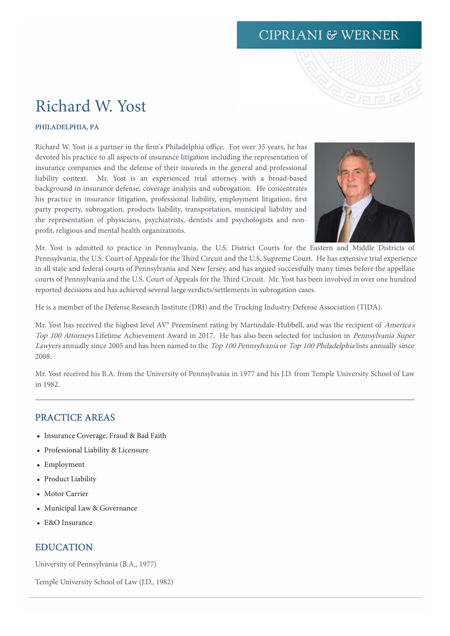# **CIPRIANI & WERNER**

# Richard W. Yost

#### PHILADELPHIA, PA

Richard W. Yost is a partner in the firm's Philadelphia office. For over 35 years, he has devoted his practice to all aspects of insurance litigation including the representation of insurance companies and the defense of their insureds in the general and professional liability context. Mr. Yost is an experienced trial attorney with a broad-based background in insurance defense, coverage analysis and subrogation. He concentrates his practice in insurance litigation, professional liability, employment litigation, first party property, subrogation, products liability, transportation, municipal liability and the representation of physicians, psychiatrists, dentists and psychologists and nonprofit, religious and mental health organizations.



Mr. Yost is admitted to practice in Pennsylvania, the U.S. District Courts for the Eastern and Middle Districts of Pennsylvania, the U.S. Court of Appeals for the Third Circuit and the U.S. Supreme Court. He has extensive trial experience in all state and federal courts of Pennsylvania and New Jersey, and has argued successfully many times before the appellate courts of Pennsylvania and the U.S. Court of Appeals for the Third Circuit. Mr. Yost has been involved in over one hundred reported decisions and has achieved several large verdicts/settlements in subrogation cases.

He is a member of the Defense Research Institute (DRI) and the Trucking Industry Defense Association (TIDA).

Mr. Yost has received the highest level AV® Preeminent rating by Martindale-Hubbell, and was the recipient of America's Top <sup>100</sup> Attorneys Lifetime Achievement Award in 2017. He has also been selected for inclusion in Pennsylvania Super Lawyers annually since 2005 and has been named to the Top 100 Pennsylvania or Top 100 Philadelphia lists annually since 2008.

Mr. Yost received his B.A. from the University of Pennsylvania in 1977 and his J.D. from Temple University School of Law in 1982.

### PRACTICE AREAS

- Insurance Coverage, Fraud & Bad Faith
- Professional Liability & Licensure
- Employment
- Product Liability
- Motor Carrier
- Municipal Law & Governance
- E&O Insurance

## EDUCATION

University of Pennsylvania (B.A., 1977)

Temple University School of Law (J.D., 1982)